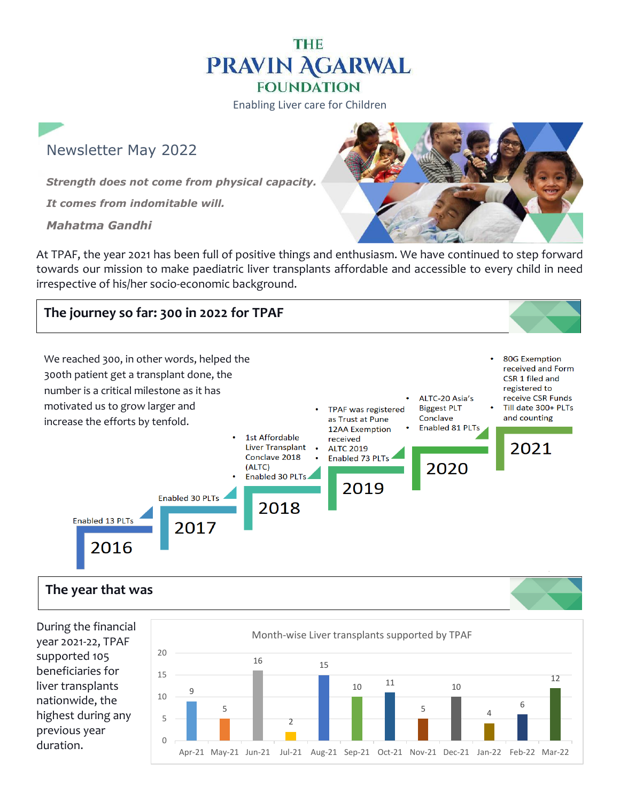### THE PRAVIN AGARWAL **FOUNDATION**

Enabling Liver care for Children

## Newsletter May 2022

*Strength does not come from physical capacity.* 

*It comes from indomitable will.*

*Mahatma Gandhi*







During the financial year 2021-22, TPAF supported 105 beneficiaries for liver transplants nationwide, the highest during any previous year duration.

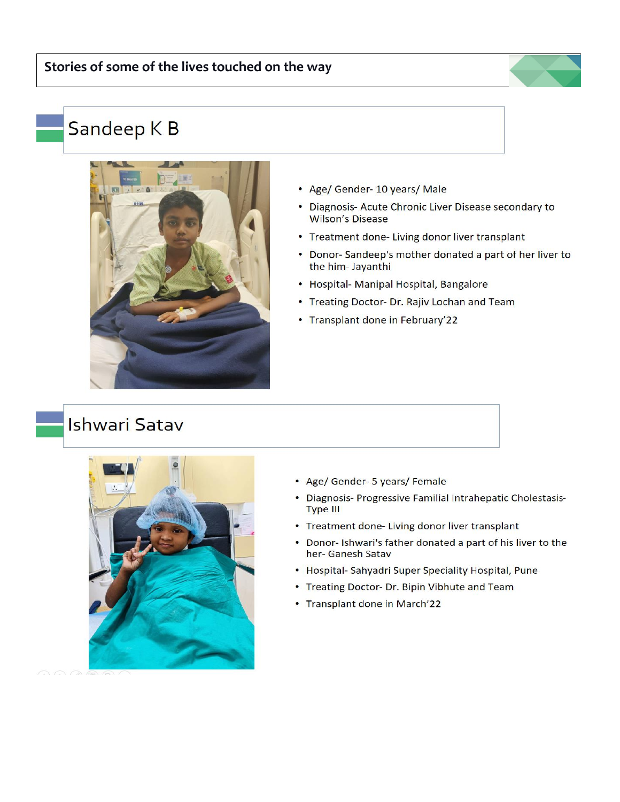### Stories of some of the lives touched on the way



# Sandeep K B



- Age/ Gender- 10 years/ Male
- Diagnosis- Acute Chronic Liver Disease secondary to **Wilson's Disease**
- Treatment done- Living donor liver transplant
- Donor-Sandeep's mother donated a part of her liver to the him-Jayanthi
- Hospital- Manipal Hospital, Bangalore
- Treating Doctor- Dr. Rajiv Lochan and Team
- Transplant done in February'22

## **Ishwari Satav**



- Age/ Gender- 5 years/ Female
- Diagnosis- Progressive Familial Intrahepatic Cholestasis-**Type III**
- Treatment done- Living donor liver transplant  $\bullet$
- Donor- Ishwari's father donated a part of his liver to the her-Ganesh Satav
- Hospital- Sahyadri Super Speciality Hospital, Pune
- Treating Doctor- Dr. Bipin Vibhute and Team  $\bullet$
- Transplant done in March'22